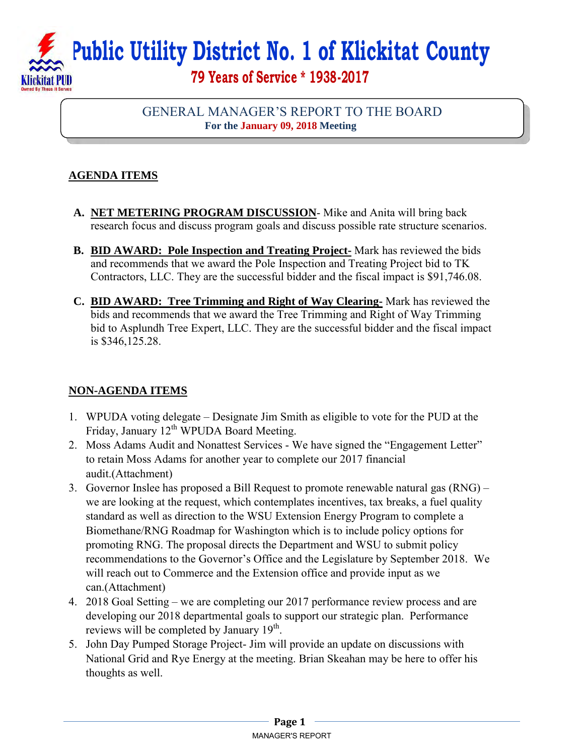# **Public Utility District No. 1 of Klickitat County 79 Years of Service \* 1938-2017**

## GENERAL MANAGER'S REPORT TO THE BOARD **For the January 09, 2018 Meeting**

# **AGENDA ITEMS**

- **A. NET METERING PROGRAM DISCUSSION** Mike and Anita will bring back research focus and discuss program goals and discuss possible rate structure scenarios.
- **B. BID AWARD: Pole Inspection and Treating Project-** Mark has reviewed the bids and recommends that we award the Pole Inspection and Treating Project bid to TK Contractors, LLC. They are the successful bidder and the fiscal impact is \$91,746.08.
- **C. BID AWARD: Tree Trimming and Right of Way Clearing-** Mark has reviewed the bids and recommends that we award the Tree Trimming and Right of Way Trimming bid to Asplundh Tree Expert, LLC. They are the successful bidder and the fiscal impact is \$346,125.28.

## **NON-AGENDA ITEMS**

- 1. WPUDA voting delegate Designate Jim Smith as eligible to vote for the PUD at the Friday, January  $12^{th}$  WPUDA Board Meeting.
- 2. Moss Adams Audit and Nonattest Services We have signed the "Engagement Letter" to retain Moss Adams for another year to complete our 2017 financial audit.(Attachment)
- 3. Governor Inslee has proposed a Bill Request to promote renewable natural gas (RNG) we are looking at the request, which contemplates incentives, tax breaks, a fuel quality standard as well as direction to the WSU Extension Energy Program to complete a Biomethane/RNG Roadmap for Washington which is to include policy options for promoting RNG. The proposal directs the Department and WSU to submit policy recommendations to the Governor's Office and the Legislature by September 2018. We will reach out to Commerce and the Extension office and provide input as we can.(Attachment)
- 4. 2018 Goal Setting we are completing our 2017 performance review process and are developing our 2018 departmental goals to support our strategic plan. Performance reviews will be completed by January 19<sup>th</sup>.
- 5. John Day Pumped Storage Project- Jim will provide an update on discussions with National Grid and Rye Energy at the meeting. Brian Skeahan may be here to offer his thoughts as well.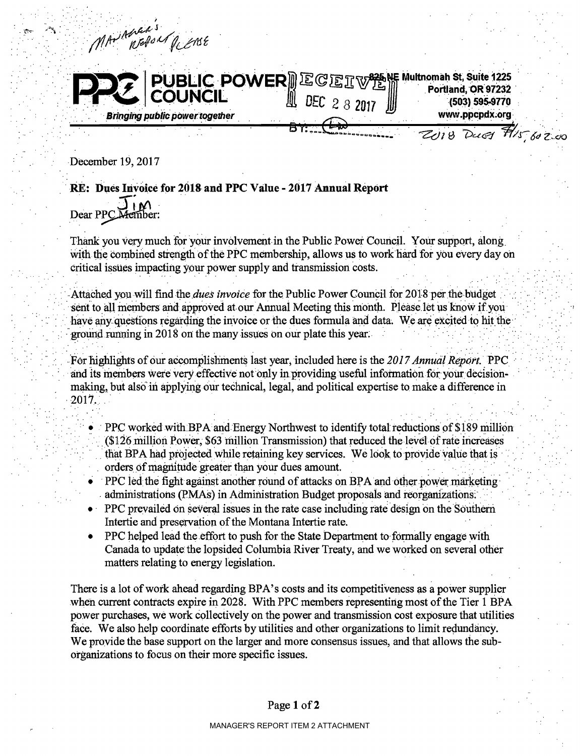MAN MOREN PLEASE **PUBLIC POWER** EGET WAS Nultromah St, Suite 1225<br>COUNCIL LEE 2 3 2017 www.ppcpdx.org **Bringing public power together** ZUIB Dues Flis 602.00

December 19, 2017

## RE: Dues Invoice for 2018 and PPC Value - 2017 Annual Report

Dear PPC Member:

Thank you very much for your involvement in the Public Power Council. Your support, along with the combined strength of the PPC membership, allows us to work hard for you every day on critical issues impacting your power supply and transmission costs.

Attached you will find the *dues invoice* for the Public Power Council for 2018 per the budget sent to all members and approved at our Annual Meeting this month. Please let us know if you have any questions regarding the invoice or the dues formula and data. We are excited to hit the ground running in 2018 on the many issues on our plate this year.

For highlights of our accomplishments last year, included here is the 2017 Annual Report. PPC and its members were very effective not only in providing useful information for your decisionmaking, but also in applying our technical, legal, and political expertise to make a difference in 2017.

- PPC worked with BPA and Energy Northwest to identify total reductions of \$189 million (\$126 million Power, \$63 million Transmission) that reduced the level of rate increases that BPA had projected while retaining key services. We look to provide value that is orders of magnitude greater than your dues amount.
- PPC led the fight against another round of attacks on BPA and other power marketing administrations (PMAs) in Administration Budget proposals and reorganizations.
- $\bullet$  PPC prevailed on several issues in the rate case including rate design on the Southern Intertie and preservation of the Montana Intertie rate.
- PPC helped lead the effort to push for the State Department to formally engage with Canada to update the lopsided Columbia River Treaty, and we worked on several other matters relating to energy legislation.

There is a lot of work ahead regarding BPA's costs and its competitiveness as a power supplier when current contracts expire in 2028. With PPC members representing most of the Tier 1 BPA power purchases, we work collectively on the power and transmission cost exposure that utilities face. We also help coordinate efforts by utilities and other organizations to limit redundancy. We provide the base support on the larger and more consensus issues, and that allows the suborganizations to focus on their more specific issues.

## Page 1 of 2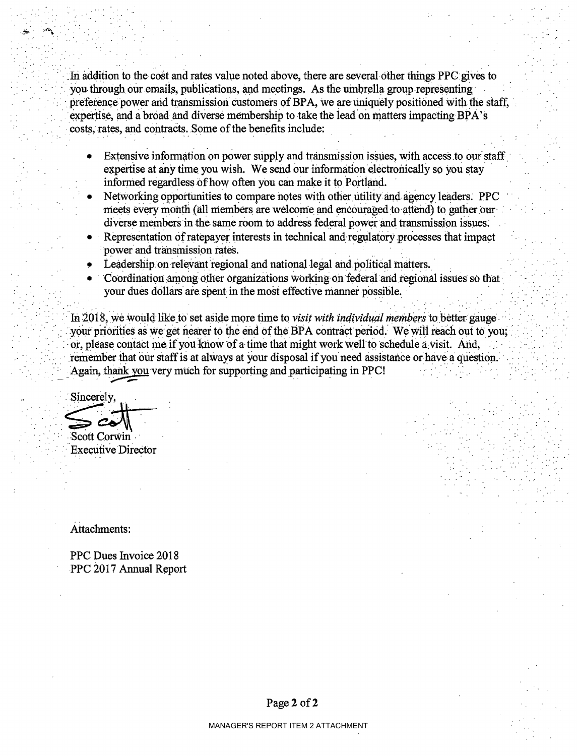In addition to the cost and rates value noted above, there are several other things PPC gives to you through our emails, publications, and meetings. As the umbrella group representing preference power and transmission customers of BPA, we are uniquely positioned with the staff. expertise, and a broad and diverse membership to take the lead on matters impacting BPA's costs, rates, and contracts. Some of the benefits include:

- Extensive information on power supply and transmission issues, with access to our staff expertise at any time you wish. We send our information electronically so you stay informed regardless of how often you can make it to Portland.
- Networking opportunities to compare notes with other utility and agency leaders. PPC meets every month (all members are welcome and encouraged to attend) to gather our diverse members in the same room to address federal power and transmission issues.
- Representation of ratepayer interests in technical and regulatory processes that impact power and transmission rates.
- Leadership on relevant regional and national legal and political matters.
- Coordination among other organizations working on federal and regional issues so that your dues dollars are spent in the most effective manner possible.

In 2018, we would like to set aside more time to *visit with individual members* to better gauge your priorities as we get nearer to the end of the BPA contract period. We will reach out to you: or, please contact me if you know of a time that might work well to schedule a visit. And, remember that our staff is at always at your disposal if you need assistance or have a question. Again, thank you very much for supporting and participating in PPC!

Sincerely. Scott Corwin

**Executive Director** 

Attachments:

PPC Dues Invoice 2018 PPC 2017 Annual Report

Page 2 of 2

MANAGER'S REPORT ITEM 2 ATTACHMENT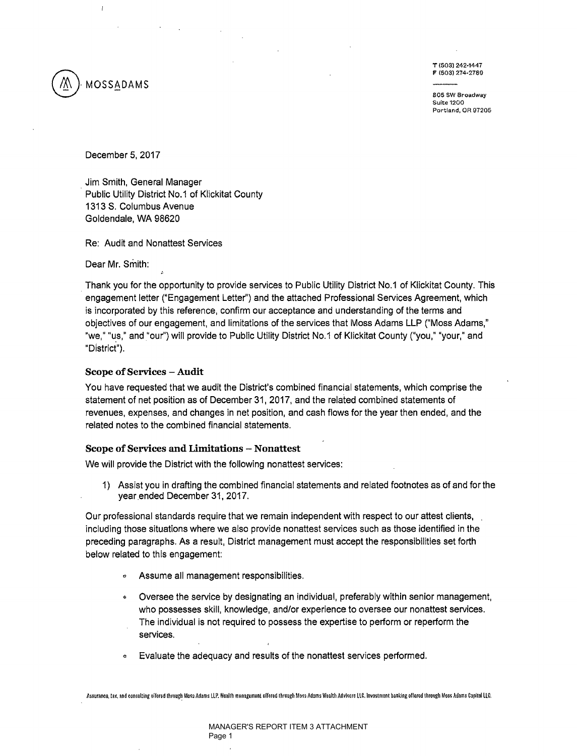

 $\mathbf{I}$ 

T (503) 242·1447

805 SW Broadway Suite 1200 Portland, OR 97205

December 5, 2017

. Jim Smith, General Manager Public Utility District No.1 of Klickitat County 1313 S. Columbus Avenue Goldendale, WA 98620

Re: Audit and Nonattest Services

Dear Mr. Smith:

Thank you for the opportunity to provide services to Public Utility District No.1 of Klickitat County. This engagement letter ("Engagement Letter") and the attached Professional Services Agreement, which is incorporated by this reference, confirm our acceptance and understanding of the terms and objectives of our engagement, and limitations of the services that Moss Adams LLP ("Moss Adams," "we," "us," and "our") will provide to Public Utility District No.1 of Klickitat County ("you," "your," and "District").

#### Scope of Services - Audit

You have requested that we audit the District's combined financial statements, which comprise the statement of net position as of December 31,2017, and the related combined statements of revenues, expenses, and changes in net position, and cash flows for the year then ended, and the related notes to the combined financial statements.

#### Scope of Services and Limitations - Nonattest

We will provide the District with the following nonattest services:

1) Assist you in drafting the combined financial statements and related footnotes as of and for the year ended December 31,2017.

Our professional standards require that we remain independent with respect to our attest clients, including those situations where we also provide nonattest services such as those identified in the preceding paragraphs. As a result, District management must accept the responsibilities set forth below related to this engagement:

- **•** Assume all management responsibilities.
- Oversee the service by designating an individual, preferably within senior management, who possesses skill, knowledge, and/or experience to oversee our nonattest services. The individual is not required to possess the expertise to perform or reperform the services.
- Evaluate the adequacy and results of the nonattest services performed.

Assurance, tax, and consulting oifored through Moss Adams LLP. Woalth menagemont offored through Moss Adams Wealth Advisors LLC. Investment banking offered through Moss Adams Capital LLC.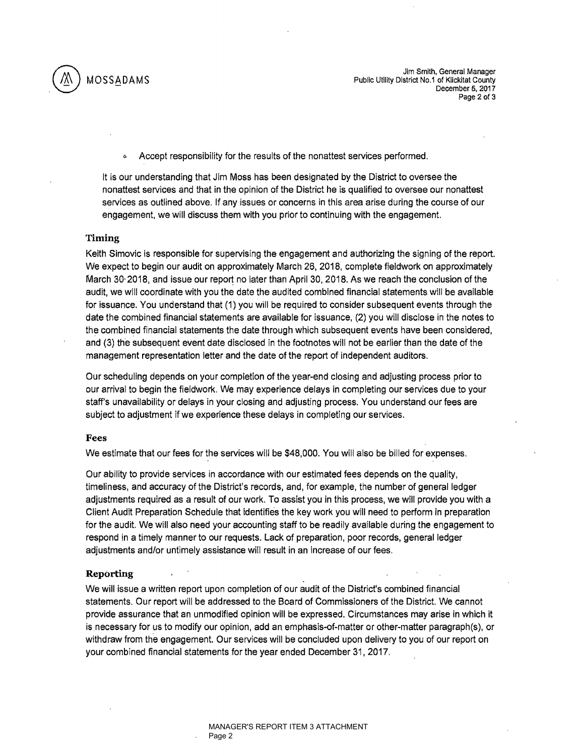

Jim Smith, General Manager<br>Public Utility District No.1 of Klickitat County Public Utility District No.1 of Klickitat County December 5, 2017 Page 2 of 3

'" Accept responsibility for the results of the nonattest services performed.

It is our understanding that Jim Moss has been designated by the District to oversee the nonattest services and that in the opinion of the District he is qualified to oversee our nonattest services as outlined above. If any issues or concerns in this area arise during the course of our engagement, we will discuss them with you prior to continuing with the engagement.

#### Timing

Keith Simovic is responsible for supervising the engagement and authorizing the signing of the report. We expect to begin our audit on approximately March 26, 2018, complete fieldwork on approximately March 30-2018, and issue our report no later than April 30, 2018. As we reach the conclusion of the audit, we will coordinate with you the date the audited combined financial statements will be available for issuance. You understand that (1) you will be required to consider subsequent events through the date the combined financial statements are available for issuance, (2) you will disclose in the notes to the combined financial statements the date through which subsequent events have been considered, and (3) the subsequent event date disclosed in the footnotes will not be earlier than the date of the management representation letter and the date of the report of independent auditors.

Our scheduling depends on your completion of the year-end closing and adjusting process prior to our arrival to begin the fieldwork. We may experience delays in completing our services due to your staff's unavailability or delays in your closing and adjusting process. You understand our fees are subject to adjustment if we experience these delays in completing our services.

#### Fees

We estimate that our fees for the services will be \$48,000. You will also be billed for expenses.

Our ability to provide services in accordance with our estimated fees depends on the quality, timeliness, and accuracy of the District's records. and. for example. the number of general ledger adjustments required as a result of our work. To assist you in this process. we will provide you with a Client Audit Preparation Schedule that identifies the key work you will need to perform in preparation for the audit. We will also need your accounting staff to be readily available during the engagement to respond in a timely manner to our requests. Lack of preparation. poor records, general ledger adjustments and/or untimely assistance will result in an increase of our fees.

#### Reporting

We will issue a written report upon completion of our audit of the District's combined financial statements. Our report will be addressed to the Board of Commissioners of the District. We cannot provide assurance that an unmodified opinion will be expressed. Circumstances may arise in which it is necessary for us to modify our opinion. add an emphasis-of-matter or other-matter paragraph(s), or withdraw from the engagement. Our services will be concluded upon delivery to you of our report on your combined financial statements for the year ended December 31, 2017.